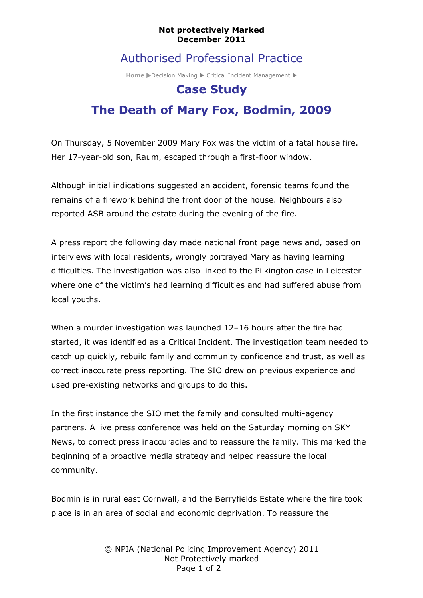#### **Not protectively Marked December 2011**

### Authorised Professional Practice

**Home** Decision Making Critical Incident Management C

## **Case Study**

# **The Death of Mary Fox, Bodmin, 2009**

On Thursday, 5 November 2009 Mary Fox was the victim of a fatal house fire. Her 17-year-old son, Raum, escaped through a first-floor window.

Although initial indications suggested an accident, forensic teams found the remains of a firework behind the front door of the house. Neighbours also reported ASB around the estate during the evening of the fire.

A press report the following day made national front page news and, based on interviews with local residents, wrongly portrayed Mary as having learning difficulties. The investigation was also linked to the Pilkington case in Leicester where one of the victim's had learning difficulties and had suffered abuse from local youths.

When a murder investigation was launched 12–16 hours after the fire had started, it was identified as a Critical Incident. The investigation team needed to catch up quickly, rebuild family and community confidence and trust, as well as correct inaccurate press reporting. The SIO drew on previous experience and used pre-existing networks and groups to do this.

In the first instance the SIO met the family and consulted multi-agency partners. A live press conference was held on the Saturday morning on SKY News, to correct press inaccuracies and to reassure the family. This marked the beginning of a proactive media strategy and helped reassure the local community.

Bodmin is in rural east Cornwall, and the Berryfields Estate where the fire took place is in an area of social and economic deprivation. To reassure the

> © NPIA (National Policing Improvement Agency) 2011 Not Protectively marked Page 1 of 2